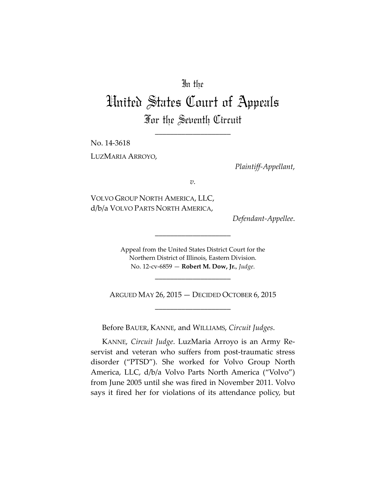# In the

# United States Court of Appeals For the Seventh Circuit

\_\_\_\_\_\_\_\_\_\_\_\_\_\_\_\_\_\_\_\_

No. 14-3618

LUZMARIA ARROYO,

*Plaintiff-Appellant*,

*v.*

VOLVO GROUP NORTH AMERICA, LLC, d/b/a VOLVO PARTS NORTH AMERICA,

 $Defendant$ *Appellee*.

Appeal from the United States District Court for the Northern District of Illinois, Eastern Division. No. 12-cv-6859 - Robert M. Dow, Jr., Judge.

\_\_\_\_\_\_\_\_\_\_\_\_\_\_\_\_\_\_\_\_

ARGUED MAY 26, 2015 - DECIDED OCTOBER 6, 2015 \_\_\_\_\_\_\_\_\_\_\_\_\_\_\_\_\_\_\_\_

\_\_\_\_\_\_\_\_\_\_\_\_\_\_\_\_\_\_\_\_

Before BAUER, KANNE, and WILLIAMS, *Circuit Judges*.

KANNE, *Circuit Judge*. LuzMaria Arroyo is an Army Reservist and veteran who suffers from post-traumatic stress disorder ("PTSD"). She worked for Volvo Group North America, LLC, d/b/a Volvo Parts North America ("Volvo") from June 2005 until she was fired in November 2011. Volvo says it fired her for violations of its attendance policy, but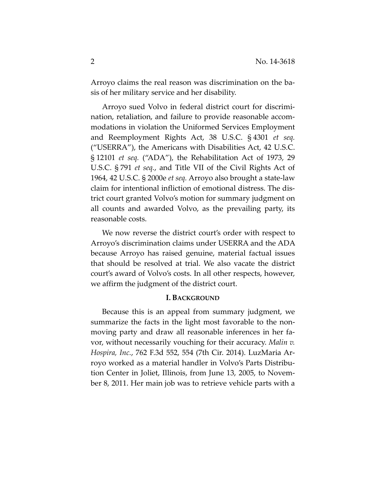Arroyo claims the real reason was discrimination on the basis of her military service and her disability.

Arroyo sued Volvo in federal district court for discrimination, retaliation, and failure to provide reasonable accommodations in violation the Uniformed Services Employment and Reemployment Rights Act, 38 U.S.C. § 4301 *et seq.* ("USERRA"), the Americans with Disabilities Act,  $42$  U.S.C. § 12101 *et seq.* ("ADA"), the Rehabilitation Act of 1973, 29 U.S.C. § 791 *et seq.*, and Title VII of the Civil Rights Act of 1964, 42 U.S.C. § 2000e *et seq.* Arroyo also brought a state-law claim for intentional infliction of emotional distress. The district court granted Volvo's motion for summary judgment on all counts and awarded Volvo, as the prevailing party, its reasonable costs.

We now reverse the district court's order with respect to Arroyo's discrimination claims under USERRA and the ADA because Arroyo has raised genuine, material factual issues that should be resolved at trial. We also vacate the district court's award of Volvo's costs. In all other respects, however, we affirm the judgment of the district court.

#### **I. BACKGROUND**

Because this is an appeal from summary judgment, we summarize the facts in the light most favorable to the nonmoving party and draw all reasonable inferences in her favor, without necessarily vouching for their accuracy. *Malin v*. *Hospira, Inc., 762 F.3d 552, 554 (7th Cir. 2014). LuzMaria Ar*royo worked as a material handler in Volvo's Parts Distribution Center in Joliet, Illinois, from June 13, 2005, to November 8, 2011. Her main job was to retrieve vehicle parts with a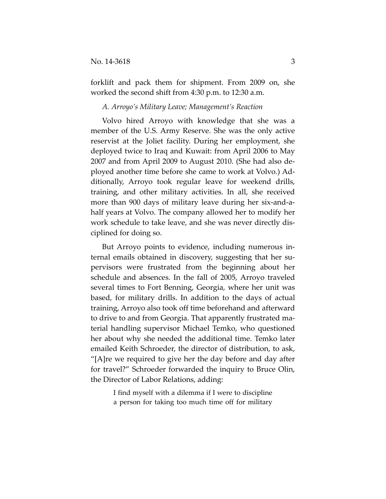forklift and pack them for shipment. From 2009 on, she worked the second shift from  $4:30$  p.m. to  $12:30$  a.m.

#### A. Arroyo's Military Leave; Management's Reaction

Volvo hired Arroyo with knowledge that she was a member of the U.S. Army Reserve. She was the only active reservist at the Joliet facility. During her employment, she deployed twice to Iraq and Kuwait: from April 2006 to May 2007 and from April 2009 to August 2010. (She had also deployed another time before she came to work at Volvo.) Additionally, Arroyo took regular leave for weekend drills, training, and other military activities. In all, she received more than 900 days of military leave during her six-and-ahalf years at Volvo. The company allowed her to modify her work schedule to take leave, and she was never directly disciplined for doing so.

But Arroyo points to evidence, including numerous internal emails obtained in discovery, suggesting that her supervisors were frustrated from the beginning about her schedule and absences. In the fall of 2005, Arroyo traveled several times to Fort Benning, Georgia, where her unit was based, for military drills. In addition to the days of actual training, Arroyo also took off time beforehand and afterward to drive to and from Georgia. That apparently frustrated material handling supervisor Michael Temko, who questioned her about why she needed the additional time. Temko later emailed Keith Schroeder, the director of distribution, to ask, "[A]re we required to give her the day before and day after" for travel?" Schroeder forwarded the inquiry to Bruce Olin, the Director of Labor Relations, adding:

> I find myself with a dilemma if I were to discipline a person for taking too much time off for military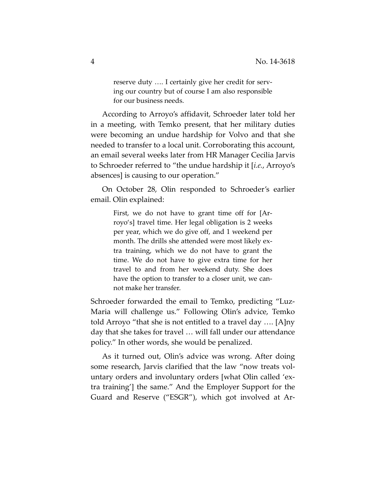reserve duty .... I certainly give her credit for serving our country but of course I am also responsible for our business needs.

According to Arroyo's affidavit, Schroeder later told her in a meeting, with Temko present, that her military duties were becoming an undue hardship for Volvo and that she needed to transfer to a local unit. Corroborating this account, an email several weeks later from HR Manager Cecilia Jarvis to Schroeder referred to "the undue hardship it [*i.e.*, Arroyo's"] absences] is causing to our operation."

On October 28, Olin responded to Schroeder's earlier email. Olin explained:

> First, we do not have to grant time off for [Arroyo's] travel time. Her legal obligation is 2 weeks per year, which we do give off, and 1 weekend per month. The drills she attended were most likely extra training, which we do not have to grant the time. We do not have to give extra time for her travel to and from her weekend duty. She does have the option to transfer to a closer unit, we cannot make her transfer.

Schroeder forwarded the email to Temko, predicting "Luz-Maria will challenge us." Following Olin's advice, Temko told Arroyo "that she is not entitled to a travel day  $\dots$  [A]ny" day that she takes for travel ... will fall under our attendance policy." In other words, she would be penalized.

As it turned out, Olin's advice was wrong. After doing some research, Jarvis clarified that the law "now treats voluntary orders and involuntary orders [what Olin called 'extra training'] the same." And the Employer Support for the Guard and Reserve ("ESGR"), which got involved at Ar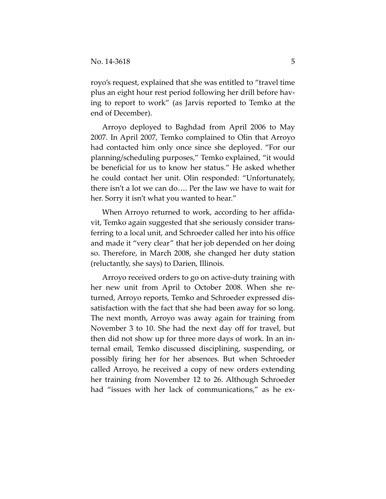royo's request, explained that she was entitled to "travel time" plus an eight hour rest period following her drill before having to report to work" (as Jarvis reported to Temko at the end of December).

Arroyo deployed to Baghdad from April 2006 to May 2007. In April 2007, Temko complained to Olin that Arroyo had contacted him only once since she deployed. "For our planning/scheduling purposes," Temko explained, "it would be beneficial for us to know her status." He asked whether he could contact her unit. Olin responded: "Unfortunately, there isn't a lot we can do.... Per the law we have to wait for her. Sorry it isn't what you wanted to hear."

When Arroyo returned to work, according to her affidavit, Temko again suggested that she seriously consider transferring to a local unit, and Schroeder called her into his office and made it "very clear" that her job depended on her doing so. Therefore, in March 2008, she changed her duty station (reluctantly, she says) to Darien, Illinois.

Arroyo received orders to go on active-duty training with her new unit from April to October 2008. When she returned, Arroyo reports, Temko and Schroeder expressed dissatisfaction with the fact that she had been away for so long. The next month, Arroyo was away again for training from November 3 to 10. She had the next day off for travel, but then did not show up for three more days of work. In an internal email, Temko discussed disciplining, suspending, or possibly" firing" her" for" her" absences." But" when" Schroeder" called Arroyo, he received a copy of new orders extending her training from November 12 to 26. Although Schroeder had " issues with her lack of communications," as he ex-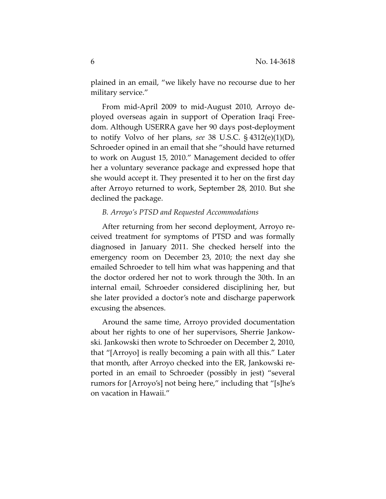plained in an email, "we likely have no recourse due to her military service."

From mid-April 2009 to mid-August 2010, Arroyo deployed overseas again in support of Operation Iraqi Freedom. Although USERRA gave her 90 days post-deployment to notify Volvo of her plans, *see* 38 U.S.C. § 4312(e)(1)(D), Schroeder opined in an email that she "should have returned" to work on August 15, 2010." Management decided to offer her a voluntary severance package and expressed hope that she would accept it. They presented it to her on the first day after Arroyo returned to work, September 28, 2010. But she declined the package.

#### *B. Arroyo's PTSD and Requested Accommodations*

After returning from her second deployment, Arroyo received treatment for symptoms of PTSD and was formally diagnosed in January 2011. She checked herself into the emergency room on December 23, 2010; the next day she emailed Schroeder to tell him what was happening and that the doctor ordered her not to work through the 30th. In an internal email, Schroeder considered disciplining her, but she later provided a doctor's note and discharge paperwork excusing the absences.

Around the same time, Arroyo provided documentation about her rights to one of her supervisors, Sherrie Jankowski. Jankowski then wrote to Schroeder on December 2, 2010, that "[Arroyo] is really becoming a pain with all this." Later that month, after Arroyo checked into the ER, Jankowski reported in an email to Schroeder (possibly in jest) "several" rumors for [Arroyo's] not being here," including that "[s]he's" on vacation in Hawaii."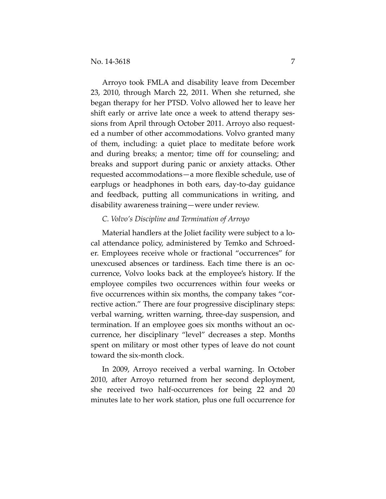Arroyo took FMLA and disability leave from December 23, 2010, through March 22, 2011. When she returned, she began therapy for her PTSD. Volvo allowed her to leave her shift early or arrive late once a week to attend therapy sessions from April through October 2011. Arroyo also requested a number of other accommodations. Volvo granted many of them, including: a quiet place to meditate before work and during breaks; a mentor; time off for counseling; and breaks and support during panic or anxiety attacks. Other requested accommodations—a more flexible schedule, use of earplugs or headphones in both ears, day-to-day guidance and feedback, putting all communications in writing, and disability awareness training—were under review.

## *C. Volvo's Discipline and Termination of Arroyo*

Material handlers at the Joliet facility were subject to a local attendance policy, administered by Temko and Schroeder. Employees receive whole or fractional "occurrences" for unexcused absences or tardiness. Each time there is an occurrence, Volvo looks back at the employee's history. If the employee compiles two occurrences within four weeks or five occurrences within six months, the company takes "corrective action." There are four progressive disciplinary steps: verbal warning, written warning, three-day suspension, and termination. If an employee goes six months without an occurrence, her disciplinary "level" decreases a step. Months spent on military or most other types of leave do not count toward the six-month clock.

In 2009, Arroyo received a verbal warning. In October 2010, after Arroyo returned from her second deployment, she received two half-occurrences for being 22 and 20" minutes late to her work station, plus one full occurrence for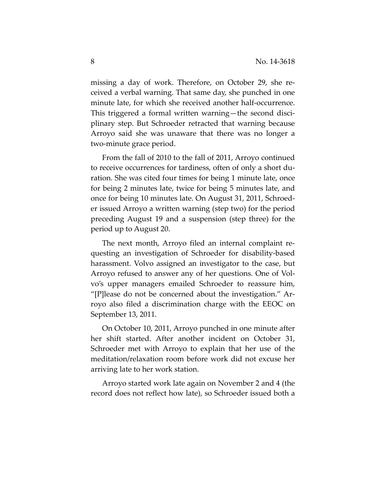missing a day of work. Therefore, on October 29, she received a verbal warning. That same day, she punched in one minute late, for which she received another half-occurrence. This triggered a formal written warning—the second disciplinary step. But Schroeder retracted that warning because Arroyo said she was unaware that there was no longer a two-minute grace period.

From the fall of 2010 to the fall of 2011, Arroyo continued to receive occurrences for tardiness, often of only a short duration. She was cited four times for being 1 minute late, once for being 2 minutes late, twice for being 5 minutes late, and once for being 10 minutes late. On August 31, 2011, Schroeder issued Arroyo a written warning (step two) for the period preceding August 19 and a suspension (step three) for the period up to August 20.

The next month, Arroyo filed an internal complaint requesting an investigation of Schroeder for disability-based harassment. Volvo assigned an investigator to the case, but Arroyo refused to answer any of her questions. One of Volvo's upper managers emailed Schroeder to reassure him, " $[P]$ lease do not be concerned about the investigation." Arroyo also filed a discrimination charge with the EEOC on September 13, 2011.

On October 10, 2011, Arroyo punched in one minute after her shift started. After another incident on October 31, Schroeder met with Arroyo to explain that her use of the meditation/relaxation room before work did not excuse her arriving late to her work station.

Arroyo started work late again on November 2 and 4 (the record does not reflect how late), so Schroeder issued both a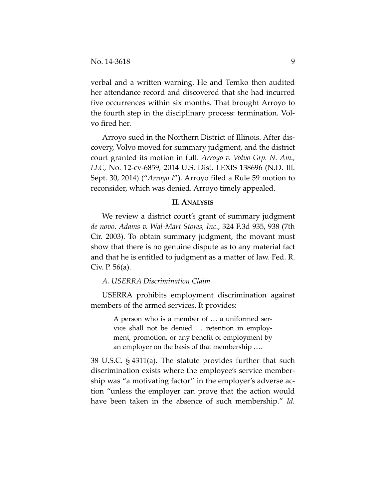verbal and a written warning. He and Temko then audited her attendance record and discovered that she had incurred five occurrences within six months. That brought Arroyo to the fourth step in the disciplinary process: termination. Volvo fired her.

Arroyo sued in the Northern District of Illinois. After discovery, Volvo moved for summary judgment, and the district court granted its motion in full. *Arroyo v. Volvo Grp. N. Am.*, *LLC, No. 12-cv-6859, 2014 U.S. Dist. LEXIS 138696 (N.D. Ill.* Sept. 30, 2014) ("*Arroyo I*"). Arroyo filed a Rule 59 motion to reconsider, which was denied. Arroyo timely appealed.

#### **II. ANALYSIS**

We review a district court's grant of summary judgment de novo. Adams v. Wal-Mart Stores, Inc., 324 F.3d 935, 938 (7th Cir. 2003). To obtain summary judgment, the movant must show that there is no genuine dispute as to any material fact and that he is entitled to judgment as a matter of law. Fed. R. Civ. P.  $56(a)$ .

# A. USERRA Discrimination Claim

USERRA prohibits employment discrimination against members of the armed services. It provides:

> A person who is a member of ... a uniformed service shall not be denied ... retention in employment, promotion, or any benefit of employment by an employer on the basis of that membership ....

38 U.S.C.  $\S$  4311(a). The statute provides further that such discrimination exists where the employee's service membership was "a motivating factor" in the employer's adverse action "unless the employer can prove that the action would have been taken in the absence of such membership." *Id.*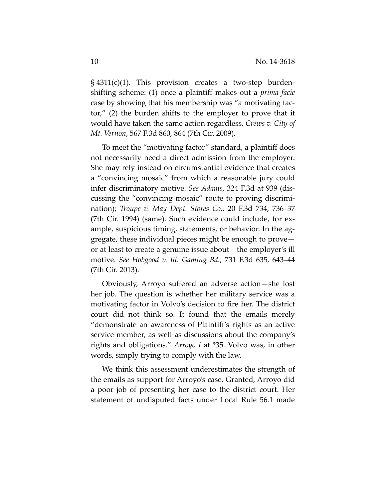$\S$  4311(c)(1). This provision creates a two-step burdenshifting scheme: (1) once a plaintiff makes out a *prima facie* case by showing that his membership was "a motivating factor,"  $(2)$  the burden shifts to the employer to prove that it would have taken the same action regardless. *Crews v. City of Mt. Vernon, 567 F.3d 860, 864 (7th Cir. 2009).* 

To meet the "motivating factor" standard, a plaintiff does not necessarily need a direct admission from the employer. She may rely instead on circumstantial evidence that creates a "convincing mosaic" from which a reasonable jury could infer discriminatory motive. *See Adams*, 324 F.3d at 939 (discussing the "convincing mosaic" route to proving discrimination); *Troupe v. May Dept. Stores Co.*, 20 F.3d 734, 736–37 (7th Cir. 1994) (same). Such evidence could include, for example, suspicious timing, statements, or behavior. In the aggregate, these individual pieces might be enough to prove or at least to create a genuine issue about—the employer's ill motive. See Hobgood v. Ill. Gaming Bd., 731 F.3d 635, 643–44 (7th Cir. 2013).

Obviously, Arroyo suffered an adverse action—she lost her job. The question is whether her military service was a motivating factor in Volvo's decision to fire her. The district court did not think so. It found that the emails merely " demonstrate an awareness of Plaintiff's rights as an active service member, as well as discussions about the company's rights and obligations." *Arroyo I* at \*35. Volvo was, in other words, simply trying to comply with the law.

We think this assessment underestimates the strength of the emails as support for Arroyo's case. Granted, Arroyo did a poor job of presenting her case to the district court. Her statement of undisputed facts under Local Rule 56.1 made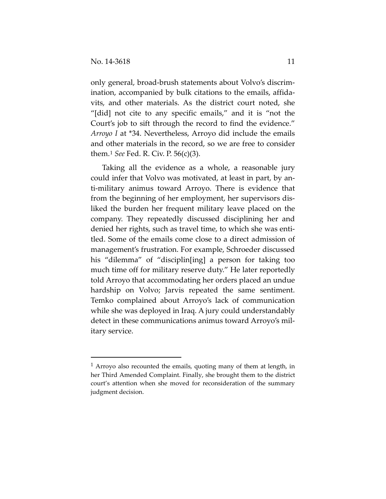only general, broad-brush statements about Volvo's discrimination, accompanied by bulk citations to the emails, affidavits, and other materials. As the district court noted, she "[did] not cite to any specific emails," and it is "not the Court's job to sift through the record to find the evidence." *Arroyo I* at \*34. Nevertheless, Arroyo did include the emails and other materials in the record, so we are free to consider them.<sup>1</sup> *See* Fed. R. Civ. P. 56(c)(3).

Taking all the evidence as a whole, a reasonable jury could infer that Volvo was motivated, at least in part, by anti-military animus toward Arroyo. There is evidence that from the beginning of her employment, her supervisors disliked the burden her frequent military leave placed on the company. They repeatedly discussed disciplining her and denied her rights, such as travel time, to which she was entitled. Some of the emails come close to a direct admission of management's frustration. For example, Schroeder discussed his "dilemma" of "disciplin[ing] a person for taking too" much time off for military reserve duty." He later reportedly told Arroyo that accommodating her orders placed an undue hardship on Volvo; Jarvis repeated the same sentiment. Temko complained about Arroyo's lack of communication while she was deployed in Iraq. A jury could understandably detect in these communications animus toward Arroyo's military service.

""""""""""""""""""""""""""""""""""""""""""""""""

<sup>&</sup>lt;sup>1</sup> Arroyo also recounted the emails, quoting many of them at length, in her Third Amended Complaint. Finally, she brought them to the district court's attention when she moved for reconsideration of the summary judgment decision.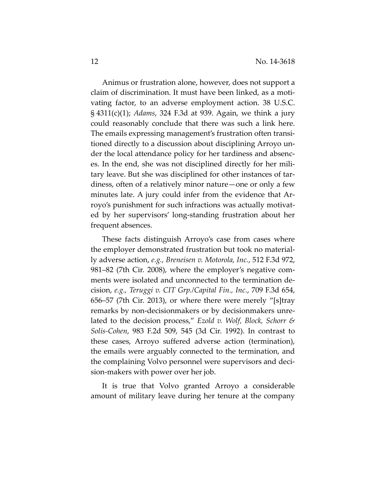Animus or frustration alone, however, does not support a claim of discrimination. It must have been linked, as a motivating factor, to an adverse employment action. 38 U.S.C. § 4311(c)(1); *Adams*, 324 F.3d at 939. Again, we think a jury could reasonably conclude that there was such a link here. The emails expressing management's frustration often transitioned directly to a discussion about disciplining Arroyo under the local attendance policy for her tardiness and absences. In the end, she was not disciplined directly for her military leave. But she was disciplined for other instances of tardiness, often of a relatively minor nature—one or only a few minutes late. A jury could infer from the evidence that Arroyo's punishment for such infractions was actually motivated by her supervisors' long-standing frustration about her frequent absences.

These facts distinguish Arroyo's case from cases where the employer demonstrated frustration but took no materially adverse action, *e.g.*, Breneisen v. Motorola, Inc., 512 F.3d 972, 981–82 (7th Cir. 2008), where the employer's negative comments were isolated and unconnected to the termination decision, e.g., Teruggi v. CIT Grp./Capital Fin., Inc., 709 F.3d 654, 656–57 (7th Cir. 2013), or where there were merely "[s]tray remarks by non-decisionmakers or by decisionmakers unrelated to the decision process," *Ezold v. Wolf, Block, Schorr & Solis-Cohen, 983 F.2d 509, 545 (3d Cir. 1992). In contrast to* these cases, Arroyo suffered adverse action (termination), the emails were arguably connected to the termination, and the complaining Volvo personnel were supervisors and decision-makers with power over her job.

It is true that Volvo granted Arroyo a considerable amount of military leave during her tenure at the company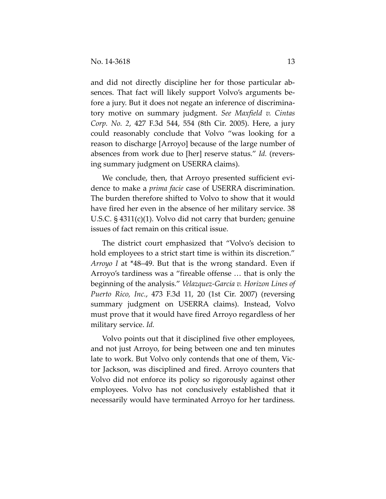and did not directly discipline her for those particular absences. That fact will likely support Volvo's arguments before a jury. But it does not negate an inference of discriminatory motive on summary judgment. See Maxfield v. Cintas *Corp. No. 2, 427 F.3d 544, 554 (8th Cir. 2005). Here, a jury* could reasonably conclude that Volvo "was looking for a" reason to discharge [Arroyo] because of the large number of absences from work due to [her] reserve status." *Id.* (reversing summary judgment on USERRA claims).

We conclude, then, that Arroyo presented sufficient evidence to make a *prima facie* case of USERRA discrimination. The burden therefore shifted to Volvo to show that it would have fired her even in the absence of her military service. 38 U.S.C.  $\S$  4311(c)(1). Volvo did not carry that burden; genuine issues of fact remain on this critical issue.

The district court emphasized that "Volvo's decision to" hold employees to a strict start time is within its discretion." *Arroyo I* at \*48–49. But that is the wrong standard. Even if Arroyo's tardiness was a "fireable offense ... that is only the beginning of the analysis." *Velazquez-Garcia v. Horizon Lines of Puerto Rico, Inc., 473 F.3d 11, 20 (1st Cir. 2007) (reversing* summary judgment on USERRA claims). Instead, Volvo must prove that it would have fired Arroyo regardless of her military service. *Id.* 

Volvo points out that it disciplined five other employees, and not just Arroyo, for being between one and ten minutes late to work. But Volvo only contends that one of them, Victor Jackson, was disciplined and fired. Arroyo counters that Volvo did not enforce its policy so rigorously against other employees. Volvo has not conclusively established that it necessarily would have terminated Arroyo for her tardiness.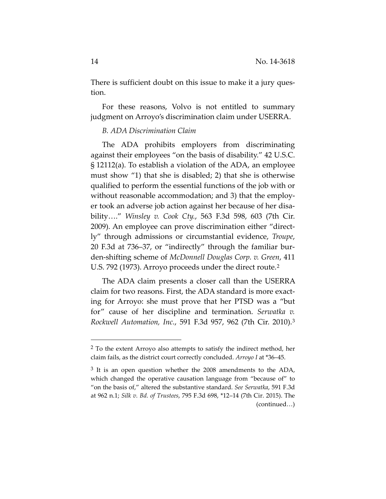There is sufficient doubt on this issue to make it a jury question.

For these reasons, Volvo is not entitled to summary judgment on Arroyo's discrimination claim under USERRA.

## *B.0ADA0Discrimination0Claim*

""""""""""""""""""""""""""""""""""""""""""""""""

The ADA prohibits employers from discriminating against their employees "on the basis of disability." 42 U.S.C.  $\S$  12112(a). To establish a violation of the ADA, an employee must show "1) that she is disabled; 2) that she is otherwise qualified to perform the essential functions of the job with or without reasonable accommodation; and 3) that the employer took an adverse job action against her because of her disability...." *Winsley v. Cook Cty.*, 563 F.3d 598, 603 (7th Cir. 2009). An employee can prove discrimination either "directly" through admissions or circumstantial evidence, *Troupe*, 20 F.3d at 736–37, or "indirectly" through the familiar burden-shifting scheme of *McDonnell Douglas Corp. v. Green*, 411 U.S. 792 (1973). Arroyo proceeds under the direct route.<sup>2</sup>

The ADA claim presents a closer call than the USERRA claim for two reasons. First, the ADA standard is more exacting for Arroyo: she must prove that her PTSD was a "but" for" cause of her discipline and termination. Serwatka v. *Rockwell Automation, Inc.,* 591 F.3d 957, 962 (7th Cir. 2010).<sup>3</sup>

 $2$  To the extent Arroyo also attempts to satisfy the indirect method, her claim fails, as the district court correctly concluded. *Arroyo I* at \*36–45.

 $3$  It is an open question whether the 2008 amendments to the ADA, which changed the operative causation language from "because of" to "on the basis of," altered the substantive standard. See Serwatka, 591 F.3d at 962 n.1; *Silk v. Bd. of Trustees, 795 F.3d 698, \*12–14 (7th Cir. 2015). The* (continued…)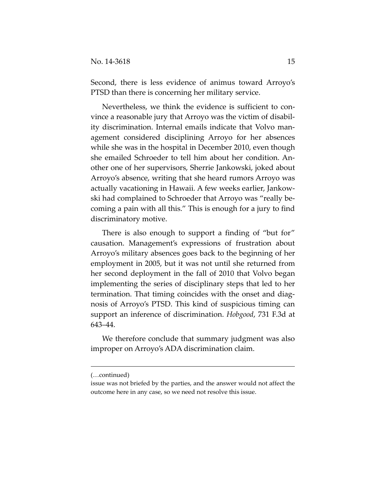Second, there is less evidence of animus toward Arroyo's PTSD than there is concerning her military service.

Nevertheless, we think the evidence is sufficient to convince a reasonable jury that Arroyo was the victim of disability discrimination. Internal emails indicate that Volvo management considered disciplining Arroyo for her absences while she was in the hospital in December 2010, even though she emailed Schroeder to tell him about her condition. Another one of her supervisors, Sherrie Jankowski, joked about Arroyo's absence, writing that she heard rumors Arroyo was actually vacationing in Hawaii. A few weeks earlier, Jankowski had complained to Schroeder that Arroyo was "really becoming a pain with all this." This is enough for a jury to find discriminatory motive.

There is also enough to support a finding of "but for" causation. Management's expressions of frustration about Arroyo's military absences goes back to the beginning of her employment in 2005, but it was not until she returned from her second deployment in the fall of 2010 that Volvo began implementing the series of disciplinary steps that led to her termination. That timing coincides with the onset and diagnosis of Arroyo's PTSD. This kind of suspicious timing can support an inference of discrimination. *Hobgood*, 731 F.3d at 643–44.

We therefore conclude that summary judgment was also improper on Arroyo's ADA discrimination claim.

""""""""""""""""""""""""""""""""""""""""""""""""""""""""""""""""""""""""""""""""""""""""""""""""""""""""""""

<sup>(…</sup>continued)

issue was not briefed by the parties, and the answer would not affect the outcome here in any case, so we need not resolve this issue.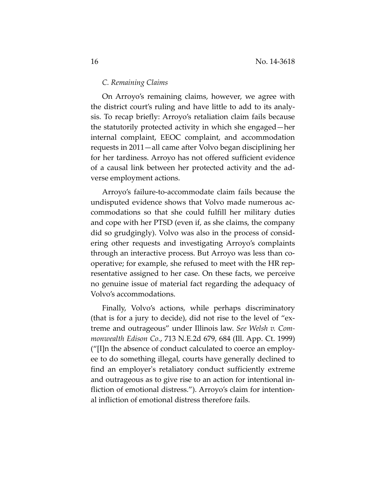#### *C.0Remaining0Claims*

On Arroyo's remaining claims, however, we agree with the district court's ruling and have little to add to its analysis. To recap briefly: Arroyo's retaliation claim fails because the statutorily protected activity in which she engaged—her internal complaint, EEOC complaint, and accommodation requests in 2011—all came after Volvo began disciplining her for her tardiness. Arroyo has not offered sufficient evidence of a causal link between her protected activity and the adverse employment actions.

Arroyo's failure-to-accommodate claim fails because the undisputed evidence shows that Volvo made numerous accommodations so that she could fulfill her military duties and cope with her PTSD (even if, as she claims, the company did so grudgingly). Volvo was also in the process of considering other requests and investigating Arroyo's complaints through an interactive process. But Arroyo was less than cooperative; for example, she refused to meet with the HR representative assigned to her case. On these facts, we perceive no genuine issue of material fact regarding the adequacy of Volvo's accommodations.

Finally, Volvo's actions, while perhaps discriminatory (that is for a jury to decide), did not rise to the level of "extreme and outrageous" under Illinois law. See Welsh v. Com*monwealth Edison Co., 713 N.E.2d 679, 684 (Ill. App. Ct. 1999)* (" $\text{[I]}$ n the absence of conduct calculated to coerce an employee to do something illegal, courts have generally declined to find an employer's retaliatory conduct sufficiently extreme and outrageous as to give rise to an action for intentional infliction of emotional distress."). Arroyo's claim for intentional infliction of emotional distress therefore fails.